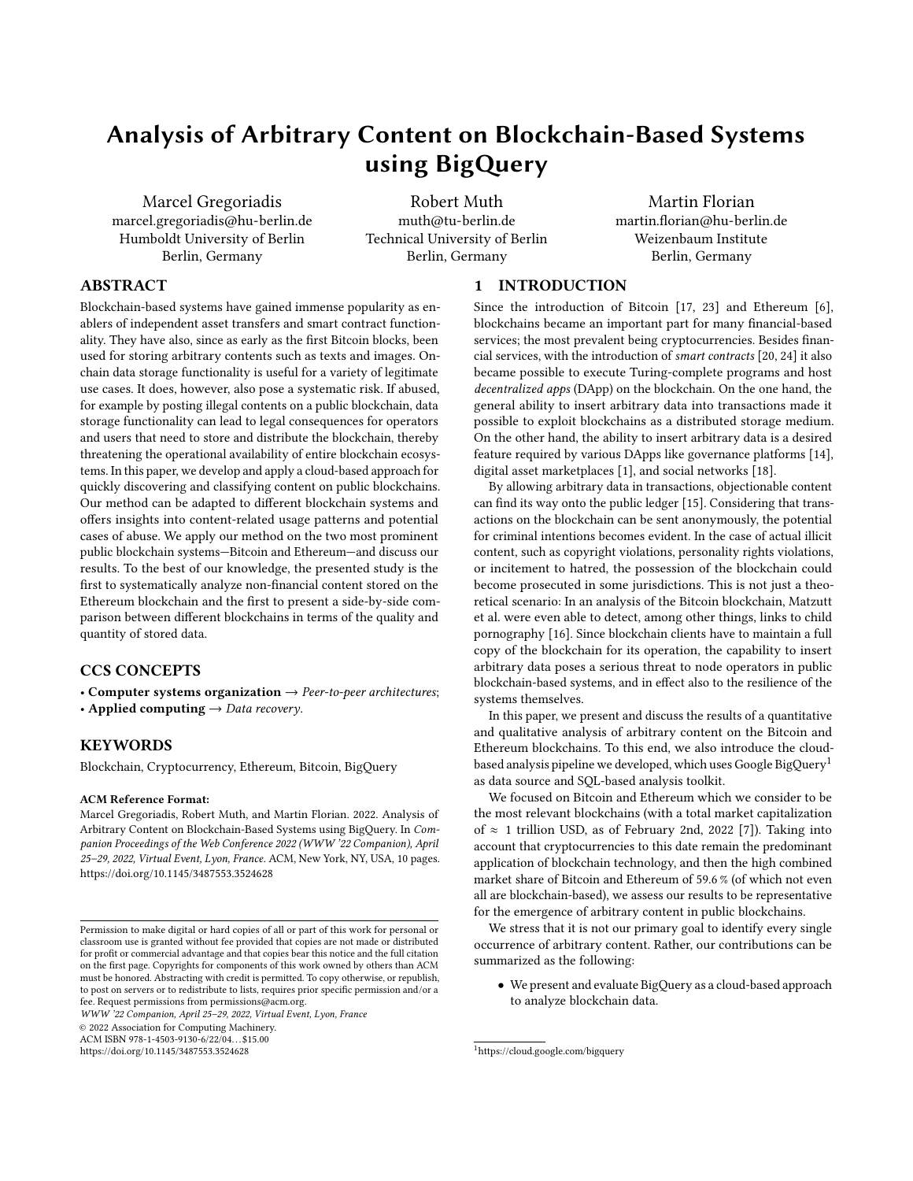# Analysis of Arbitrary Content on Blockchain-Based Systems using BigQuery

Marcel Gregoriadis marcel.gregoriadis@hu-berlin.de Humboldt University of Berlin Berlin, Germany

Robert Muth muth@tu-berlin.de Technical University of Berlin Berlin, Germany

Martin Florian martin.florian@hu-berlin.de Weizenbaum Institute Berlin, Germany

## ABSTRACT

Blockchain-based systems have gained immense popularity as enablers of independent asset transfers and smart contract functionality. They have also, since as early as the first Bitcoin blocks, been used for storing arbitrary contents such as texts and images. Onchain data storage functionality is useful for a variety of legitimate use cases. It does, however, also pose a systematic risk. If abused, for example by posting illegal contents on a public blockchain, data storage functionality can lead to legal consequences for operators and users that need to store and distribute the blockchain, thereby threatening the operational availability of entire blockchain ecosystems. In this paper, we develop and apply a cloud-based approach for quickly discovering and classifying content on public blockchains. Our method can be adapted to different blockchain systems and offers insights into content-related usage patterns and potential cases of abuse. We apply our method on the two most prominent public blockchain systems—Bitcoin and Ethereum—and discuss our results. To the best of our knowledge, the presented study is the first to systematically analyze non-financial content stored on the Ethereum blockchain and the first to present a side-by-side comparison between different blockchains in terms of the quality and quantity of stored data.

# CCS CONCEPTS

• Computer systems organization  $\rightarrow$  Peer-to-peer architectures; • Applied computing  $\rightarrow$  Data recovery.

# **KEYWORDS**

Blockchain, Cryptocurrency, Ethereum, Bitcoin, BigQuery

#### ACM Reference Format:

Marcel Gregoriadis, Robert Muth, and Martin Florian. 2022. Analysis of Arbitrary Content on Blockchain-Based Systems using BigQuery. In Companion Proceedings of the Web Conference 2022 (WWW '22 Companion), April 25–29, 2022, Virtual Event, Lyon, France. ACM, New York, NY, USA, [10](#page-9-0) pages. <https://doi.org/10.1145/3487553.3524628>

WWW '22 Companion, April 25–29, 2022, Virtual Event, Lyon, France

© 2022 Association for Computing Machinery.

ACM ISBN 978-1-4503-9130-6/22/04. . . \$15.00

<https://doi.org/10.1145/3487553.3524628>

### 1 INTRODUCTION

Since the introduction of Bitcoin [\[17,](#page-8-0) [23\]](#page-8-1) and Ethereum [\[6\]](#page-8-2), blockchains became an important part for many financial-based services; the most prevalent being cryptocurrencies. Besides financial services, with the introduction of smart contracts [\[20,](#page-8-3) [24\]](#page-8-4) it also became possible to execute Turing-complete programs and host decentralized apps (DApp) on the blockchain. On the one hand, the general ability to insert arbitrary data into transactions made it possible to exploit blockchains as a distributed storage medium. On the other hand, the ability to insert arbitrary data is a desired feature required by various DApps like governance platforms [\[14\]](#page-8-5), digital asset marketplaces [\[1\]](#page-8-6), and social networks [\[18\]](#page-8-7).

By allowing arbitrary data in transactions, objectionable content can find its way onto the public ledger [\[15\]](#page-8-8). Considering that transactions on the blockchain can be sent anonymously, the potential for criminal intentions becomes evident. In the case of actual illicit content, such as copyright violations, personality rights violations, or incitement to hatred, the possession of the blockchain could become prosecuted in some jurisdictions. This is not just a theoretical scenario: In an analysis of the Bitcoin blockchain, [Matzutt](#page-8-9) [et al.](#page-8-9) were even able to detect, among other things, links to child pornography [\[16\]](#page-8-9). Since blockchain clients have to maintain a full copy of the blockchain for its operation, the capability to insert arbitrary data poses a serious threat to node operators in public blockchain-based systems, and in effect also to the resilience of the systems themselves.

In this paper, we present and discuss the results of a quantitative and qualitative analysis of arbitrary content on the Bitcoin and Ethereum blockchains. To this end, we also introduce the cloudbased analysis pipeline we developed, which uses Google BigQuery[1](#page-0-0) as data source and SQL-based analysis toolkit.

We focused on Bitcoin and Ethereum which we consider to be the most relevant blockchains (with a total market capitalization of  $≈$  1 trillion USD, as of February 2nd, 2022 [\[7\]](#page-8-10)). Taking into account that cryptocurrencies to this date remain the predominant application of blockchain technology, and then the high combined market share of Bitcoin and Ethereum of 59.6 % (of which not even all are blockchain-based), we assess our results to be representative for the emergence of arbitrary content in public blockchains.

We stress that it is not our primary goal to identify every single occurrence of arbitrary content. Rather, our contributions can be summarized as the following:

• We present and evaluate BigQuery as a cloud-based approach to analyze blockchain data.

Permission to make digital or hard copies of all or part of this work for personal or classroom use is granted without fee provided that copies are not made or distributed for profit or commercial advantage and that copies bear this notice and the full citation on the first page. Copyrights for components of this work owned by others than ACM must be honored. Abstracting with credit is permitted. To copy otherwise, or republish, to post on servers or to redistribute to lists, requires prior specific permission and/or a fee. Request permissions from permissions@acm.org.

<span id="page-0-0"></span><sup>1</sup><https://cloud.google.com/bigquery>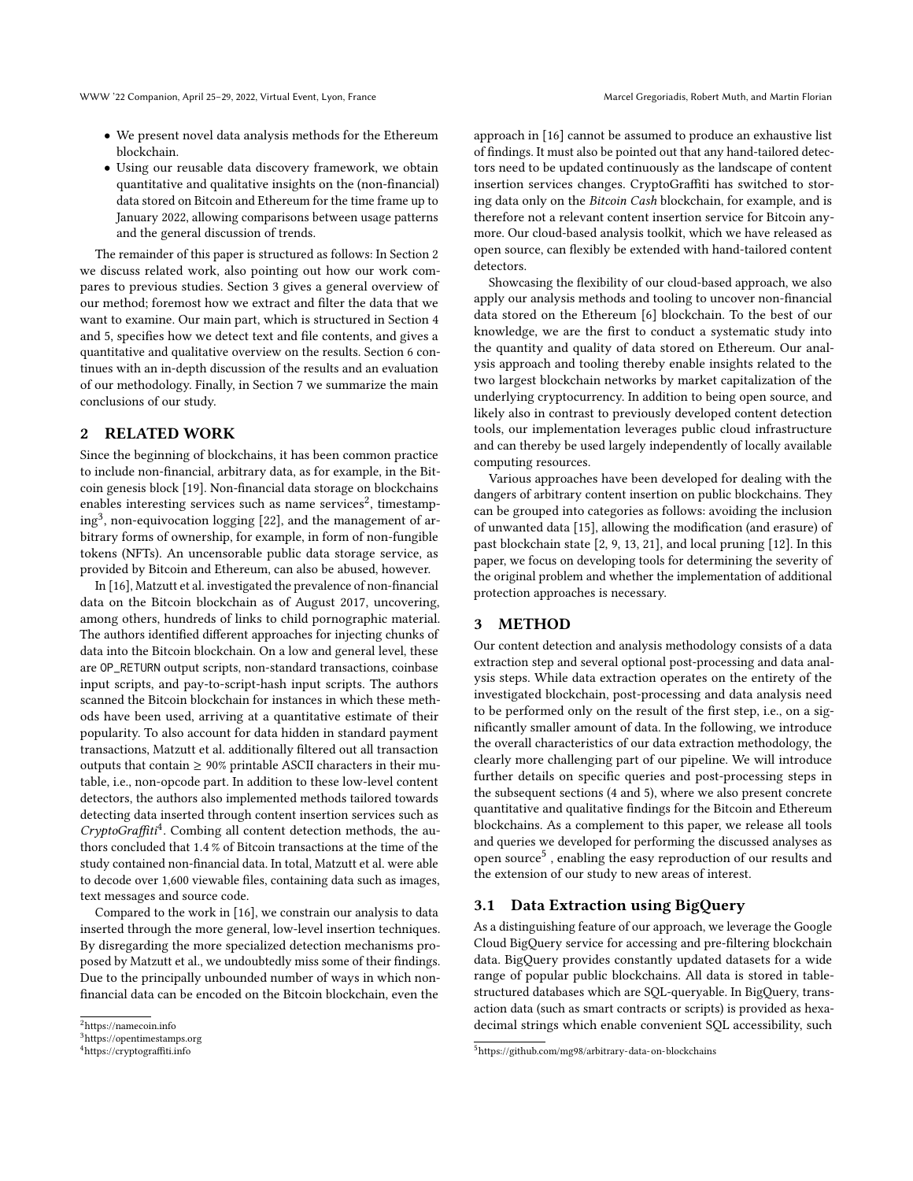- We present novel data analysis methods for the Ethereum blockchain.
- Using our reusable data discovery framework, we obtain quantitative and qualitative insights on the (non-financial) data stored on Bitcoin and Ethereum for the time frame up to January 2022, allowing comparisons between usage patterns and the general discussion of trends.

The remainder of this paper is structured as follows: In Section [2](#page-1-0) we discuss related work, also pointing out how our work compares to previous studies. Section [3](#page-1-1) gives a general overview of our method; foremost how we extract and filter the data that we want to examine. Our main part, which is structured in Section [4](#page-2-0) and [5,](#page-5-0) specifies how we detect text and file contents, and gives a quantitative and qualitative overview on the results. Section [6](#page-6-0) continues with an in-depth discussion of the results and an evaluation of our methodology. Finally, in Section [7](#page-7-0) we summarize the main conclusions of our study.

# <span id="page-1-0"></span>2 RELATED WORK

Since the beginning of blockchains, it has been common practice to include non-financial, arbitrary data, as for example, in the Bitcoin genesis block [\[19\]](#page-8-11). Non-financial data storage on blockchains enables interesting services such as name services<sup>[2](#page-1-2)</sup>, timestamp-ing<sup>[3](#page-1-3)</sup>, non-equivocation logging [\[22\]](#page-8-12), and the management of arbitrary forms of ownership, for example, in form of non-fungible tokens (NFTs). An uncensorable public data storage service, as provided by Bitcoin and Ethereum, can also be abused, however.

In [\[16\]](#page-8-9), [Matzutt et al.](#page-8-9) investigated the prevalence of non-financial data on the Bitcoin blockchain as of August 2017, uncovering, among others, hundreds of links to child pornographic material. The authors identified different approaches for injecting chunks of data into the Bitcoin blockchain. On a low and general level, these are OP\_RETURN output scripts, non-standard transactions, coinbase input scripts, and pay-to-script-hash input scripts. The authors scanned the Bitcoin blockchain for instances in which these methods have been used, arriving at a quantitative estimate of their popularity. To also account for data hidden in standard payment transactions, [Matzutt et al.](#page-8-9) additionally filtered out all transaction outputs that contain  $\geq 90\%$  printable ASCII characters in their mutable, i.e., non-opcode part. In addition to these low-level content detectors, the authors also implemented methods tailored towards detecting data inserted through content insertion services such as CryptoGraffiti<sup>[4](#page-1-4)</sup>. Combing all content detection methods, the authors concluded that 1.4 % of Bitcoin transactions at the time of the study contained non-financial data. In total, [Matzutt et al.](#page-8-9) were able to decode over 1,600 viewable files, containing data such as images, text messages and source code.

Compared to the work in [\[16\]](#page-8-9), we constrain our analysis to data inserted through the more general, low-level insertion techniques. By disregarding the more specialized detection mechanisms proposed by [Matzutt et al.,](#page-8-9) we undoubtedly miss some of their findings. Due to the principally unbounded number of ways in which nonfinancial data can be encoded on the Bitcoin blockchain, even the

approach in [\[16\]](#page-8-9) cannot be assumed to produce an exhaustive list of findings. It must also be pointed out that any hand-tailored detectors need to be updated continuously as the landscape of content insertion services changes. CryptoGraffiti has switched to storing data only on the Bitcoin Cash blockchain, for example, and is therefore not a relevant content insertion service for Bitcoin anymore. Our cloud-based analysis toolkit, which we have released as open source, can flexibly be extended with hand-tailored content detectors.

Showcasing the flexibility of our cloud-based approach, we also apply our analysis methods and tooling to uncover non-financial data stored on the Ethereum [\[6\]](#page-8-2) blockchain. To the best of our knowledge, we are the first to conduct a systematic study into the quantity and quality of data stored on Ethereum. Our analysis approach and tooling thereby enable insights related to the two largest blockchain networks by market capitalization of the underlying cryptocurrency. In addition to being open source, and likely also in contrast to previously developed content detection tools, our implementation leverages public cloud infrastructure and can thereby be used largely independently of locally available computing resources.

Various approaches have been developed for dealing with the dangers of arbitrary content insertion on public blockchains. They can be grouped into categories as follows: avoiding the inclusion of unwanted data [\[15\]](#page-8-8), allowing the modification (and erasure) of past blockchain state [\[2,](#page-8-13) [9,](#page-8-14) [13,](#page-8-15) [21\]](#page-8-16), and local pruning [\[12\]](#page-8-17). In this paper, we focus on developing tools for determining the severity of the original problem and whether the implementation of additional protection approaches is necessary.

### <span id="page-1-1"></span>3 METHOD

Our content detection and analysis methodology consists of a data extraction step and several optional post-processing and data analysis steps. While data extraction operates on the entirety of the investigated blockchain, post-processing and data analysis need to be performed only on the result of the first step, i.e., on a significantly smaller amount of data. In the following, we introduce the overall characteristics of our data extraction methodology, the clearly more challenging part of our pipeline. We will introduce further details on specific queries and post-processing steps in the subsequent sections [\(4](#page-2-0) and [5\)](#page-5-0), where we also present concrete quantitative and qualitative findings for the Bitcoin and Ethereum blockchains. As a complement to this paper, we release all tools and queries we developed for performing the discussed analyses as open source<sup>[5](#page-1-5)</sup>, enabling the easy reproduction of our results and the extension of our study to new areas of interest.

### 3.1 Data Extraction using BigQuery

As a distinguishing feature of our approach, we leverage the Google Cloud BigQuery service for accessing and pre-filtering blockchain data. BigQuery provides constantly updated datasets for a wide range of popular public blockchains. All data is stored in tablestructured databases which are SQL-queryable. In BigQuery, transaction data (such as smart contracts or scripts) is provided as hexadecimal strings which enable convenient SQL accessibility, such

<span id="page-1-2"></span> $^2$ <https://namecoin.info>

<span id="page-1-3"></span><sup>3</sup><https://opentimestamps.org>

<span id="page-1-4"></span><sup>4</sup><https://cryptograffiti.info>

<span id="page-1-5"></span><sup>5</sup><https://github.com/mg98/arbitrary-data-on-blockchains>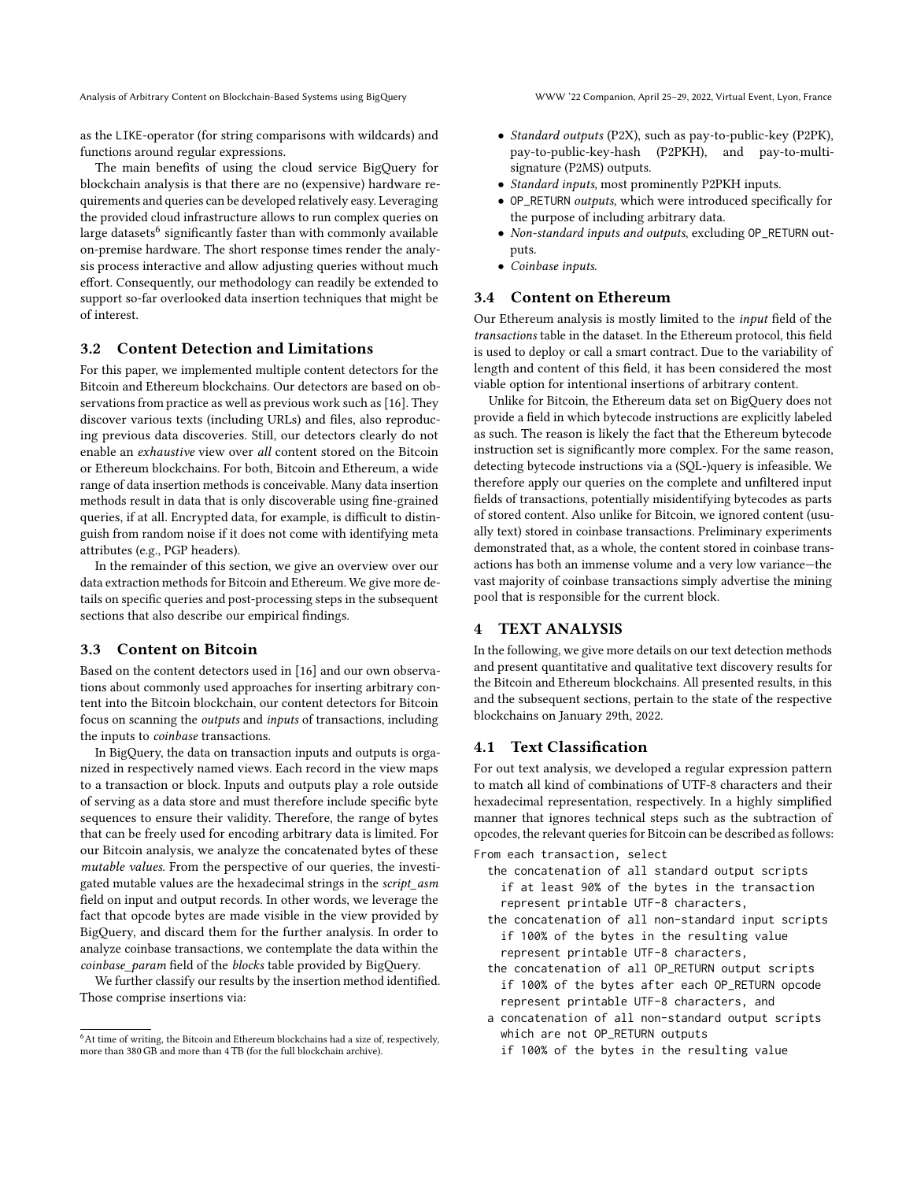Analysis of Arbitrary Content on Blockchain-Based Systems using BigQuery WWW '22 Companion, April 25–29, 2022, Virtual Event, Lyon, France

as the LIKE-operator (for string comparisons with wildcards) and functions around regular expressions.

The main benefits of using the cloud service BigQuery for blockchain analysis is that there are no (expensive) hardware requirements and queries can be developed relatively easy. Leveraging the provided cloud infrastructure allows to run complex queries on large datasets  $\!6$  $\!6$  significantly faster than with commonly available on-premise hardware. The short response times render the analysis process interactive and allow adjusting queries without much effort. Consequently, our methodology can readily be extended to support so-far overlooked data insertion techniques that might be of interest.

### 3.2 Content Detection and Limitations

For this paper, we implemented multiple content detectors for the Bitcoin and Ethereum blockchains. Our detectors are based on observations from practice as well as previous work such as [\[16\]](#page-8-9). They discover various texts (including URLs) and files, also reproducing previous data discoveries. Still, our detectors clearly do not enable an exhaustive view over all content stored on the Bitcoin or Ethereum blockchains. For both, Bitcoin and Ethereum, a wide range of data insertion methods is conceivable. Many data insertion methods result in data that is only discoverable using fine-grained queries, if at all. Encrypted data, for example, is difficult to distinguish from random noise if it does not come with identifying meta attributes (e.g., PGP headers).

In the remainder of this section, we give an overview over our data extraction methods for Bitcoin and Ethereum. We give more details on specific queries and post-processing steps in the subsequent sections that also describe our empirical findings.

### 3.3 Content on Bitcoin

Based on the content detectors used in [\[16\]](#page-8-9) and our own observations about commonly used approaches for inserting arbitrary content into the Bitcoin blockchain, our content detectors for Bitcoin focus on scanning the outputs and inputs of transactions, including the inputs to coinbase transactions.

In BigQuery, the data on transaction inputs and outputs is organized in respectively named views. Each record in the view maps to a transaction or block. Inputs and outputs play a role outside of serving as a data store and must therefore include specific byte sequences to ensure their validity. Therefore, the range of bytes that can be freely used for encoding arbitrary data is limited. For our Bitcoin analysis, we analyze the concatenated bytes of these mutable values. From the perspective of our queries, the investigated mutable values are the hexadecimal strings in the script\_asm field on input and output records. In other words, we leverage the fact that opcode bytes are made visible in the view provided by BigQuery, and discard them for the further analysis. In order to analyze coinbase transactions, we contemplate the data within the coinbase\_param field of the blocks table provided by BigQuery.

We further classify our results by the insertion method identified. Those comprise insertions via:

- Standard outputs (P2X), such as pay-to-public-key (P2PK), pay-to-public-key-hash (P2PKH), and pay-to-multisignature (P2MS) outputs.
- Standard inputs, most prominently P2PKH inputs.
- OP\_RETURN outputs, which were introduced specifically for the purpose of including arbitrary data.
- Non-standard inputs and outputs, excluding OP\_RETURN outputs.
- Coinbase inputs.

### 3.4 Content on Ethereum

Our Ethereum analysis is mostly limited to the input field of the transactions table in the dataset. In the Ethereum protocol, this field is used to deploy or call a smart contract. Due to the variability of length and content of this field, it has been considered the most viable option for intentional insertions of arbitrary content.

Unlike for Bitcoin, the Ethereum data set on BigQuery does not provide a field in which bytecode instructions are explicitly labeled as such. The reason is likely the fact that the Ethereum bytecode instruction set is significantly more complex. For the same reason, detecting bytecode instructions via a (SQL-)query is infeasible. We therefore apply our queries on the complete and unfiltered input fields of transactions, potentially misidentifying bytecodes as parts of stored content. Also unlike for Bitcoin, we ignored content (usually text) stored in coinbase transactions. Preliminary experiments demonstrated that, as a whole, the content stored in coinbase transactions has both an immense volume and a very low variance—the vast majority of coinbase transactions simply advertise the mining pool that is responsible for the current block.

### <span id="page-2-0"></span>4 TEXT ANALYSIS

In the following, we give more details on our text detection methods and present quantitative and qualitative text discovery results for the Bitcoin and Ethereum blockchains. All presented results, in this and the subsequent sections, pertain to the state of the respective blockchains on January 29th, 2022.

### 4.1 Text Classification

For out text analysis, we developed a regular expression pattern to match all kind of combinations of UTF-8 characters and their hexadecimal representation, respectively. In a highly simplified manner that ignores technical steps such as the subtraction of opcodes, the relevant queries for Bitcoin can be described as follows:

- From each transaction, select
	- the concatenation of all standard output scripts if at least 90% of the bytes in the transaction represent printable UTF-8 characters,
	- the concatenation of all non-standard input scripts if 100% of the bytes in the resulting value represent printable UTF-8 characters,
	- the concatenation of all OP\_RETURN output scripts if 100% of the bytes after each OP\_RETURN opcode represent printable UTF-8 characters, and
	- a concatenation of all non-standard output scripts which are not OP\_RETURN outputs if 100% of the bytes in the resulting value

<span id="page-2-1"></span><sup>&</sup>lt;sup>6</sup>At time of writing, the Bitcoin and Ethereum blockchains had a size of, respectively, more than 380 GB and more than 4 TB (for the full blockchain archive).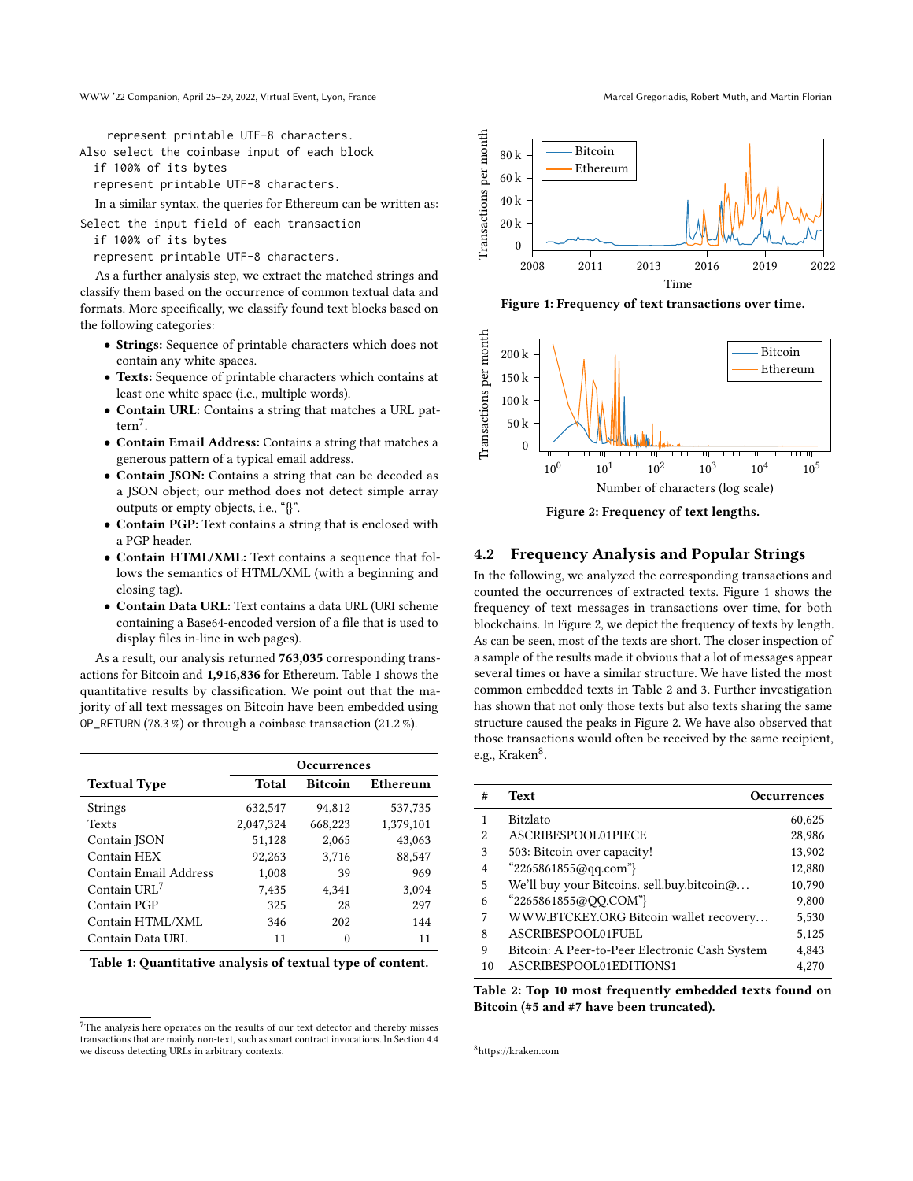represent printable UTF-8 characters.

Also select the coinbase input of each block

if 100% of its bytes

represent printable UTF-8 characters.

In a similar syntax, the queries for Ethereum can be written as:

Select the input field of each transaction

if 100% of its bytes

represent printable UTF-8 characters.

As a further analysis step, we extract the matched strings and classify them based on the occurrence of common textual data and formats. More specifically, we classify found text blocks based on the following categories:

- Strings: Sequence of printable characters which does not contain any white spaces.
- Texts: Sequence of printable characters which contains at least one white space (i.e., multiple words).
- Contain URL: Contains a string that matches a URL pattern[7](#page-3-0) .
- Contain Email Address: Contains a string that matches a generous pattern of a typical email address.
- Contain JSON: Contains a string that can be decoded as a JSON object; our method does not detect simple array outputs or empty objects, i.e., "{}".
- Contain PGP: Text contains a string that is enclosed with a PGP header.
- Contain HTML/XML: Text contains a sequence that follows the semantics of HTML/XML (with a beginning and closing tag).
- Contain Data URL: Text contains a data URL (URI scheme containing a Base64-encoded version of a file that is used to display files in-line in web pages).

As a result, our analysis returned 763,035 corresponding transactions for Bitcoin and 1,916,836 for Ethereum. Table [1](#page-3-1) shows the quantitative results by classification. We point out that the majority of all text messages on Bitcoin have been embedded using OP\_RETURN (78.3 %) or through a coinbase transaction (21.2 %).

<span id="page-3-1"></span>

|                          | <b>Occurrences</b> |                |           |
|--------------------------|--------------------|----------------|-----------|
| <b>Textual Type</b>      | Total              | <b>Bitcoin</b> | Ethereum  |
| <b>Strings</b>           | 632,547            | 94.812         | 537,735   |
| <b>Texts</b>             | 2,047,324          | 668,223        | 1,379,101 |
| Contain JSON             | 51,128             | 2.065          | 43.063    |
| Contain HEX              | 92,263             | 3,716          | 88,547    |
| Contain Email Address    | 1,008              | 39             | 969       |
| Contain URL <sup>7</sup> | 7,435              | 4,341          | 3.094     |
| Contain PGP              | 325                | 28             | 297       |
| Contain HTML/XML         | 346                | 202            | 144       |
| Contain Data URL         | 11                 | 0              | 11        |

|  |  | Table 1: Quantitative analysis of textual type of content. |  |  |
|--|--|------------------------------------------------------------|--|--|
|--|--|------------------------------------------------------------|--|--|

<span id="page-3-0"></span> ${\rm ^7The}$  analysis here operates on the results of our text detector and thereby misses transactions that are mainly non-text, such as smart contract invocations. In Section [4.4](#page-4-0) we discuss detecting URLs in arbitrary contexts.

<span id="page-3-2"></span>

Figure 1: Frequency of text transactions over time.

<span id="page-3-3"></span>

Figure 2: Frequency of text lengths.

### 4.2 Frequency Analysis and Popular Strings

In the following, we analyzed the corresponding transactions and counted the occurrences of extracted texts. Figure [1](#page-3-2) shows the frequency of text messages in transactions over time, for both blockchains. In Figure [2,](#page-3-3) we depict the frequency of texts by length. As can be seen, most of the texts are short. The closer inspection of a sample of the results made it obvious that a lot of messages appear several times or have a similar structure. We have listed the most common embedded texts in Table [2](#page-3-4) and [3.](#page-4-1) Further investigation has shown that not only those texts but also texts sharing the same structure caused the peaks in Figure [2.](#page-3-3) We have also observed that those transactions would often be received by the same recipient, e.g., Kraken<sup>[8](#page-3-5)</sup>.

<span id="page-3-4"></span>

| #  | <b>Text</b>                                    | Occurrences |
|----|------------------------------------------------|-------------|
|    | <b>Bitzlato</b>                                | 60,625      |
| 2  | ASCRIBESPOOL01PIECE                            | 28,986      |
| 3  | 503: Bitcoin over capacity!                    | 13,902      |
| 4  | "2265861855@qq.com"}                           | 12,880      |
| 5  | We'll buy your Bitcoins. sell.buy.bitcoin@     | 10,790      |
| 6  | "2265861855@QQ.COM"}                           | 9,800       |
| 7  | WWW.BTCKEY.ORG Bitcoin wallet recovery         | 5,530       |
| 8  | ASCRIBESPOOL01FUEL                             | 5,125       |
| 9  | Bitcoin: A Peer-to-Peer Electronic Cash System | 4,843       |
| 10 | ASCRIBESPOOL01EDITIONS1                        | 4.270       |

Table 2: Top 10 most frequently embedded texts found on Bitcoin (#5 and #7 have been truncated).

<span id="page-3-5"></span><sup>8</sup><https://kraken.com>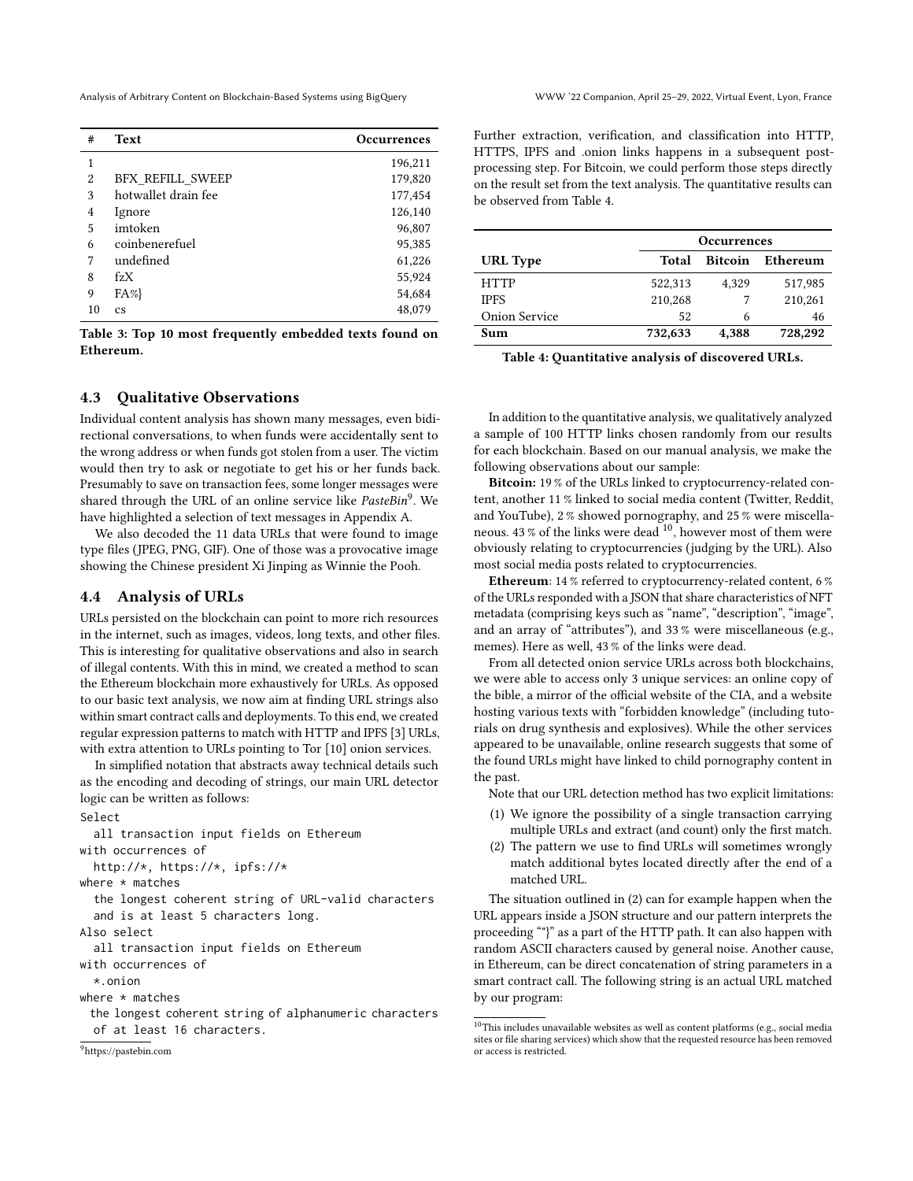Analysis of Arbitrary Content on Blockchain-Based Systems using BigQuery WWW '22 Companion, April 25–29, 2022, Virtual Event, Lyon, France

<span id="page-4-1"></span>

| #              | <b>Text</b>             | <b>Occurrences</b> |
|----------------|-------------------------|--------------------|
| 1              |                         | 196,211            |
| $\overline{2}$ | <b>BFX REFILL SWEEP</b> | 179,820            |
| 3              | hotwallet drain fee     | 177,454            |
| 4              | Ignore                  | 126,140            |
| 5              | imtoken                 | 96,807             |
| 6              | coinbenerefuel          | 95,385             |
| 7              | undefined               | 61,226             |
| 8              | $f_ZX$                  | 55,924             |
| 9              | $FA\%$                  | 54,684             |
| 10             | <b>CS</b>               | 48,079             |

Table 3: Top 10 most frequently embedded texts found on Ethereum.

### 4.3 Qualitative Observations

Individual content analysis has shown many messages, even bidirectional conversations, to when funds were accidentally sent to the wrong address or when funds got stolen from a user. The victim would then try to ask or negotiate to get his or her funds back. Presumably to save on transaction fees, some longer messages were shared through the URL of an online service like PasteBin<sup>[9](#page-4-2)</sup>. We have highlighted a selection of text messages in Appendix [A.](#page-9-1)

We also decoded the 11 data URLs that were found to image type files (JPEG, PNG, GIF). One of those was a provocative image showing the Chinese president Xi Jinping as Winnie the Pooh.

### <span id="page-4-0"></span>4.4 Analysis of URLs

URLs persisted on the blockchain can point to more rich resources in the internet, such as images, videos, long texts, and other files. This is interesting for qualitative observations and also in search of illegal contents. With this in mind, we created a method to scan the Ethereum blockchain more exhaustively for URLs. As opposed to our basic text analysis, we now aim at finding URL strings also within smart contract calls and deployments. To this end, we created regular expression patterns to match with HTTP and IPFS [\[3\]](#page-8-18) URLs, with extra attention to URLs pointing to Tor [\[10\]](#page-8-19) onion services.

In simplified notation that abstracts away technical details such as the encoding and decoding of strings, our main URL detector logic can be written as follows:

#### Select

all transaction input fields on Ethereum with occurrences of http://\*, https://\*, ipfs://\* where  $*$  matches the longest coherent string of URL-valid characters and is at least 5 characters long. Also select all transaction input fields on Ethereum with occurrences of \*.onion where  $*$  matches the longest coherent string of alphanumeric characters of at least 16 characters.

<span id="page-4-2"></span><sup>9</sup><https://pastebin.com>

Further extraction, verification, and classification into HTTP, HTTPS, IPFS and .onion links happens in a subsequent postprocessing step. For Bitcoin, we could perform those steps directly on the result set from the text analysis. The quantitative results can be observed from Table [4.](#page-4-3)

<span id="page-4-3"></span>

|                      | <b>Occurrences</b> |                |          |
|----------------------|--------------------|----------------|----------|
| <b>URL</b> Type      | Total              | <b>Bitcoin</b> | Ethereum |
| <b>HTTP</b>          | 522,313            | 4,329          | 517,985  |
| <b>IPFS</b>          | 210,268            |                | 210,261  |
| <b>Onion Service</b> | 52                 | 6              | 46       |
| Sum                  | 732,633            | 4,388          | 728,292  |

Table 4: Quantitative analysis of discovered URLs.

In addition to the quantitative analysis, we qualitatively analyzed a sample of 100 HTTP links chosen randomly from our results for each blockchain. Based on our manual analysis, we make the following observations about our sample:

Bitcoin: 19 % of the URLs linked to cryptocurrency-related content, another 11 % linked to social media content (Twitter, Reddit, and YouTube), 2 % showed pornography, and 25 % were miscellaneous. 43 % of the links were dead  $^{10}$  $^{10}$  $^{10}$ , however most of them were obviously relating to cryptocurrencies (judging by the URL). Also most social media posts related to cryptocurrencies.

Ethereum: 14 % referred to cryptocurrency-related content, 6 % of the URLs responded with a JSON that share characteristics of NFT metadata (comprising keys such as "name", "description", "image", and an array of "attributes"), and 33 % were miscellaneous (e.g., memes). Here as well, 43 % of the links were dead.

From all detected onion service URLs across both blockchains, we were able to access only 3 unique services: an online copy of the bible, a mirror of the official website of the CIA, and a website hosting various texts with "forbidden knowledge" (including tutorials on drug synthesis and explosives). While the other services appeared to be unavailable, online research suggests that some of the found URLs might have linked to child pornography content in the past.

Note that our URL detection method has two explicit limitations:

- (1) We ignore the possibility of a single transaction carrying multiple URLs and extract (and count) only the first match.
- (2) The pattern we use to find URLs will sometimes wrongly match additional bytes located directly after the end of a matched URL.

The situation outlined in (2) can for example happen when the URL appears inside a JSON structure and our pattern interprets the proceeding ""}" as a part of the HTTP path. It can also happen with random ASCII characters caused by general noise. Another cause, in Ethereum, can be direct concatenation of string parameters in a smart contract call. The following string is an actual URL matched by our program:

<span id="page-4-4"></span> $10$  This includes unavailable websites as well as content platforms (e.g., social media sites or file sharing services) which show that the requested resource has been removed or access is restricted.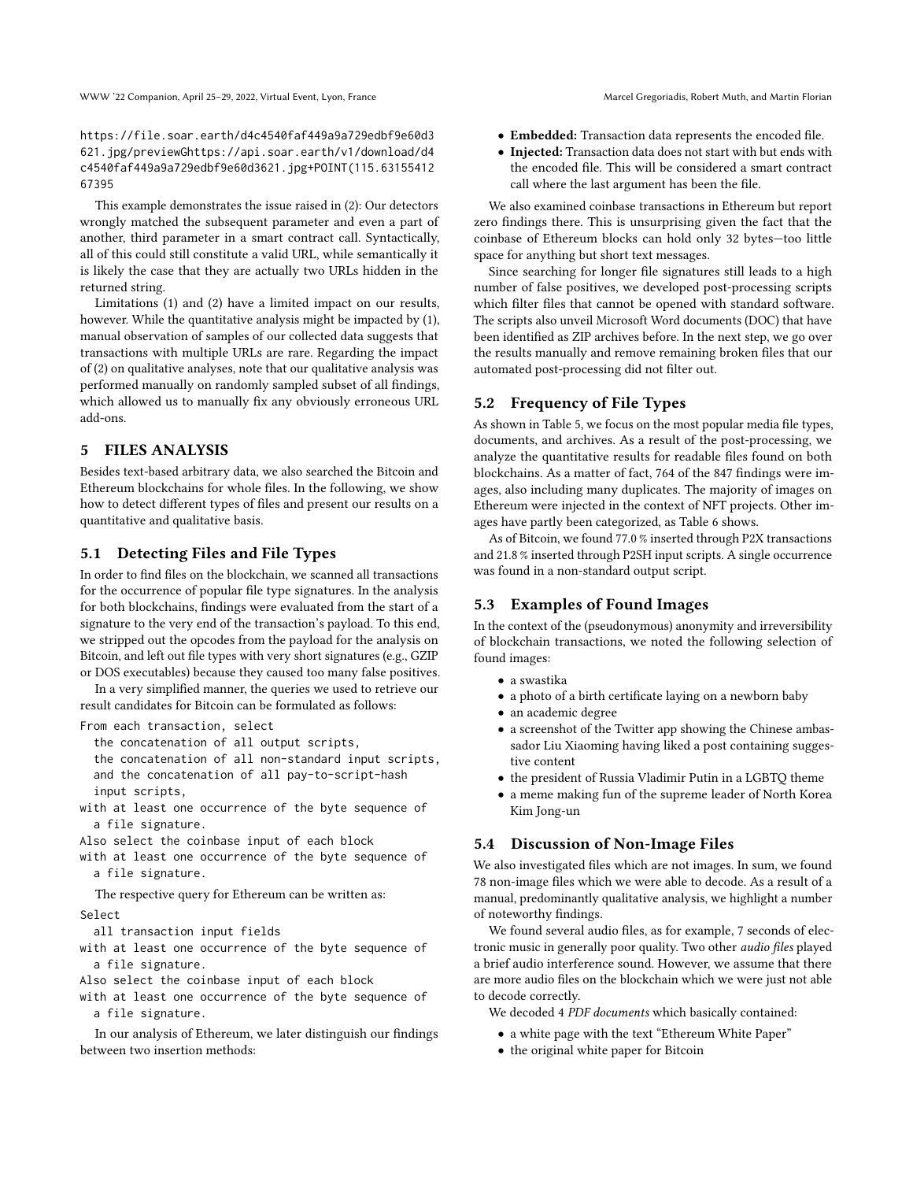https://file.soar.earth/d4c4540faf449a9a729edbf9e60d3 621.jpg/previewGhttps://api.soar.earth/v1/download/d4 c4540faf449a9a729edbf9e60d3621.jpg+POINT(115.63155412 67395

This example demonstrates the issue raised in (2): Our detectors wrongly matched the subsequent parameter and even a part of another, third parameter in a smart contract call. Syntactically, all of this could still constitute a valid URL, while semantically it is likely the case that they are actually two URLs hidden in the returned string.

Limitations (1) and (2) have a limited impact on our results, however. While the quantitative analysis might be impacted by (1), manual observation of samples of our collected data suggests that transactions with multiple URLs are rare. Regarding the impact of (2) on qualitative analyses, note that our qualitative analysis was performed manually on randomly sampled subset of all findings, which allowed us to manually fix any obviously erroneous URL add-ons.

### <span id="page-5-0"></span>5 FILES ANALYSIS

Besides text-based arbitrary data, we also searched the Bitcoin and Ethereum blockchains for whole files. In the following, we show how to detect different types of files and present our results on a quantitative and qualitative basis.

### 5.1 Detecting Files and File Types

In order to find files on the blockchain, we scanned all transactions for the occurrence of popular file type signatures. In the analysis for both blockchains, findings were evaluated from the start of a signature to the very end of the transaction's payload. To this end, we stripped out the opcodes from the payload for the analysis on Bitcoin, and left out file types with very short signatures (e.g., GZIP or DOS executables) because they caused too many false positives.

In a very simplified manner, the queries we used to retrieve our result candidates for Bitcoin can be formulated as follows:

From each transaction, select

- the concatenation of all output scripts,
- the concatenation of all non-standard input scripts, and the concatenation of all pay-to-script-hash
- input scripts,
- with at least one occurrence of the byte sequence of a file signature.
- Also select the coinbase input of each block
- with at least one occurrence of the byte sequence of a file signature.

The respective query for Ethereum can be written as: Select

- all transaction input fields
- with at least one occurrence of the byte sequence of a file signature.
- Also select the coinbase input of each block
- with at least one occurrence of the byte sequence of a file signature.

In our analysis of Ethereum, we later distinguish our findings between two insertion methods:

- Embedded: Transaction data represents the encoded file.
- Injected: Transaction data does not start with but ends with the encoded file. This will be considered a smart contract call where the last argument has been the file.

We also examined coinbase transactions in Ethereum but report zero findings there. This is unsurprising given the fact that the coinbase of Ethereum blocks can hold only 32 bytes—too little space for anything but short text messages.

Since searching for longer file signatures still leads to a high number of false positives, we developed post-processing scripts which filter files that cannot be opened with standard software. The scripts also unveil Microsoft Word documents (DOC) that have been identified as ZIP archives before. In the next step, we go over the results manually and remove remaining broken files that our automated post-processing did not filter out.

### 5.2 Frequency of File Types

As shown in Table [5,](#page-6-1) we focus on the most popular media file types, documents, and archives. As a result of the post-processing, we analyze the quantitative results for readable files found on both blockchains. As a matter of fact, 764 of the 847 findings were images, also including many duplicates. The majority of images on Ethereum were injected in the context of NFT projects. Other images have partly been categorized, as Table [6](#page-6-2) shows.

As of Bitcoin, we found 77.0 % inserted through P2X transactions and 21.8 % inserted through P2SH input scripts. A single occurrence was found in a non-standard output script.

### 5.3 Examples of Found Images

In the context of the (pseudonymous) anonymity and irreversibility of blockchain transactions, we noted the following selection of found images:

- a swastika
- a photo of a birth certificate laying on a newborn baby
- an academic degree
- a screenshot of the Twitter app showing the Chinese ambassador Liu Xiaoming having liked a post containing suggestive content
- the president of Russia Vladimir Putin in a LGBTQ theme
- a meme making fun of the supreme leader of North Korea Kim Jong-un

### 5.4 Discussion of Non-Image Files

We also investigated files which are not images. In sum, we found 78 non-image files which we were able to decode. As a result of a manual, predominantly qualitative analysis, we highlight a number of noteworthy findings.

We found several audio files, as for example, 7 seconds of electronic music in generally poor quality. Two other audio files played a brief audio interference sound. However, we assume that there are more audio files on the blockchain which we were just not able to decode correctly.

We decoded 4 PDF documents which basically contained:

- a white page with the text "Ethereum White Paper"
- the original white paper for Bitcoin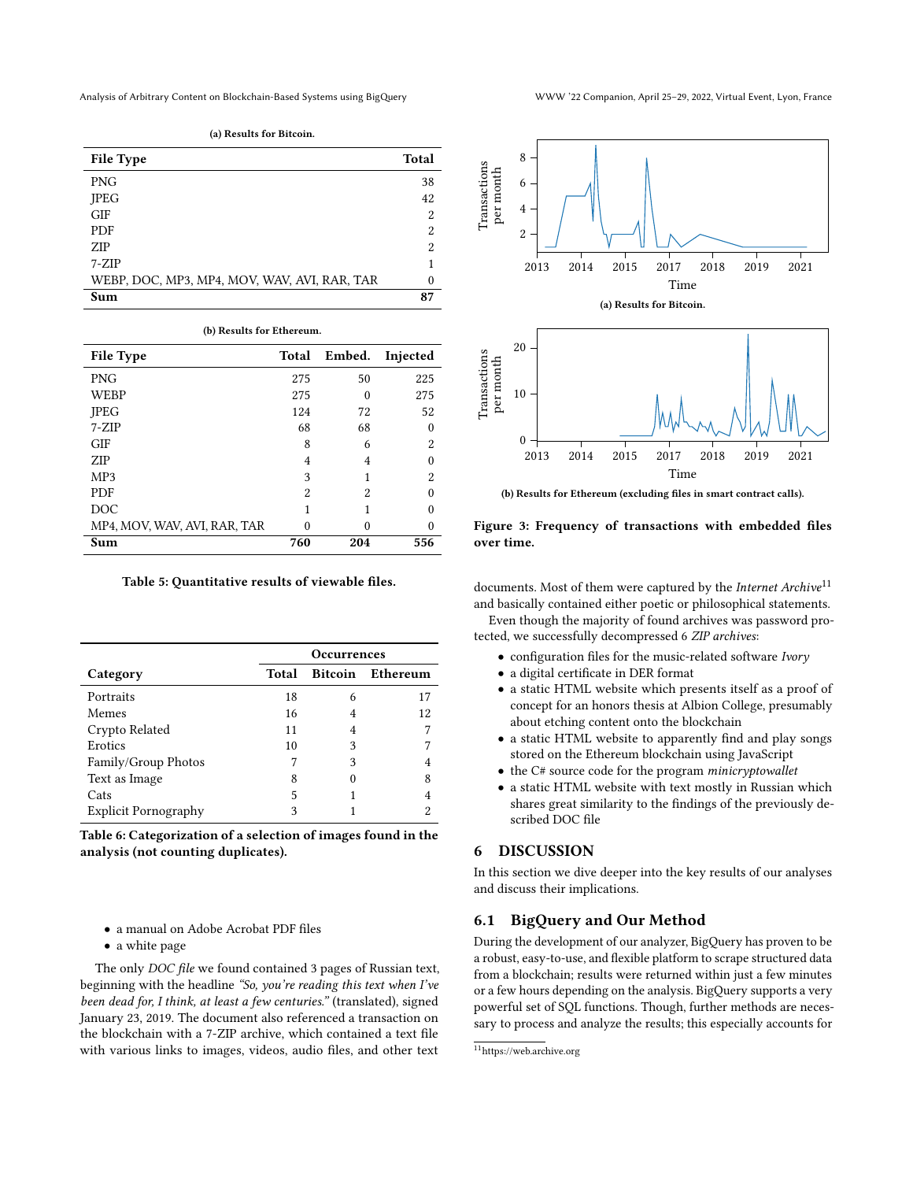<span id="page-6-1"></span>

| <b>File Type</b>                             | Total |
|----------------------------------------------|-------|
| <b>PNG</b>                                   | 38    |
| <b>IPEG</b>                                  | 42    |
| <b>GIF</b>                                   | 2     |
| <b>PDF</b>                                   | 2     |
| <b>ZIP</b>                                   | 2     |
| $7-ZIP$                                      |       |
| WEBP, DOC, MP3, MP4, MOV, WAV, AVI, RAR, TAR | 0     |
| Sum                                          | 87    |

(a) Results for Bitcoin.

| (b) Results for Ethereum.    |       |        |          |  |
|------------------------------|-------|--------|----------|--|
| <b>File Type</b>             | Total | Embed. | Injected |  |
| <b>PNG</b>                   | 275   | 50     | 225      |  |
| WEBP                         | 275   | 0      | 275      |  |
| <b>IPEG</b>                  | 124   | 72     | 52       |  |
| $7-ZIP$                      | 68    | 68     | 0        |  |
| <b>GIF</b>                   | 8     | 6      | 2        |  |
| <b>ZIP</b>                   | 4     | 4      |          |  |
| MP3                          | 3     | 1      | 2        |  |
| <b>PDF</b>                   | 2     | 2      |          |  |
| DOC                          | 1     |        |          |  |
| MP4, MOV, WAV, AVI, RAR, TAR | 0     | ∩      |          |  |
| Sum                          | 760   | 204    | 556      |  |

Table 5: Quantitative results of viewable files.

<span id="page-6-2"></span>

| <b>Occurrences</b> |   |                  |
|--------------------|---|------------------|
| Total              |   | Bitcoin Ethereum |
| 18                 | 6 | 17               |
| 16                 | 4 | 12               |
| 11                 |   |                  |
| 10                 | 3 |                  |
| 7                  | 3 |                  |
| 8                  |   | 8                |
| 5                  |   | 4                |
| 3                  |   | 2                |
|                    |   |                  |

Table 6: Categorization of a selection of images found in the analysis (not counting duplicates).

- a manual on Adobe Acrobat PDF files
- a white page

The only DOC file we found contained 3 pages of Russian text, beginning with the headline "So, you're reading this text when I've been dead for, I think, at least a few centuries." (translated), signed January 23, 2019. The document also referenced a transaction on the blockchain with a 7-ZIP archive, which contained a text file with various links to images, videos, audio files, and other text





(b) Results for Ethereum (excluding files in smart contract calls).

Figure 3: Frequency of transactions with embedded files over time.

documents. Most of them were captured by the Internet Archive<sup>[11](#page-6-3)</sup> and basically contained either poetic or philosophical statements.

Even though the majority of found archives was password protected, we successfully decompressed 6 ZIP archives:

- configuration files for the music-related software Ivory
- a digital certificate in DER format
- a static HTML website which presents itself as a proof of concept for an honors thesis at Albion College, presumably about etching content onto the blockchain
- a static HTML website to apparently find and play songs stored on the Ethereum blockchain using JavaScript
- the C# source code for the program minicryptowallet
- a static HTML website with text mostly in Russian which shares great similarity to the findings of the previously described DOC file

### <span id="page-6-0"></span>6 DISCUSSION

In this section we dive deeper into the key results of our analyses and discuss their implications.

### 6.1 BigQuery and Our Method

During the development of our analyzer, BigQuery has proven to be a robust, easy-to-use, and flexible platform to scrape structured data from a blockchain; results were returned within just a few minutes or a few hours depending on the analysis. BigQuery supports a very powerful set of SQL functions. Though, further methods are necessary to process and analyze the results; this especially accounts for

<span id="page-6-3"></span> $\rm ^{11}$  <https://web.archive.org>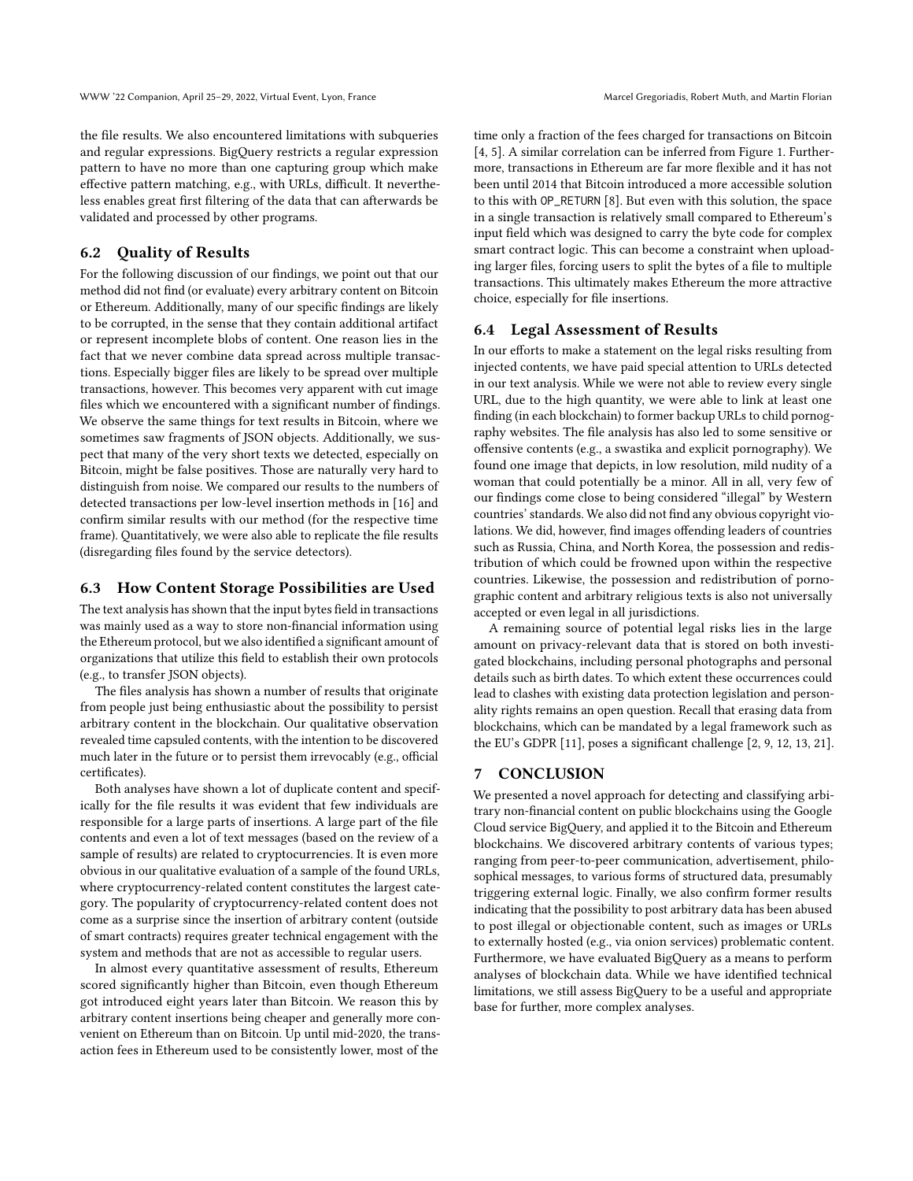the file results. We also encountered limitations with subqueries and regular expressions. BigQuery restricts a regular expression pattern to have no more than one capturing group which make effective pattern matching, e.g., with URLs, difficult. It nevertheless enables great first filtering of the data that can afterwards be validated and processed by other programs.

# 6.2 Quality of Results

For the following discussion of our findings, we point out that our method did not find (or evaluate) every arbitrary content on Bitcoin or Ethereum. Additionally, many of our specific findings are likely to be corrupted, in the sense that they contain additional artifact or represent incomplete blobs of content. One reason lies in the fact that we never combine data spread across multiple transactions. Especially bigger files are likely to be spread over multiple transactions, however. This becomes very apparent with cut image files which we encountered with a significant number of findings. We observe the same things for text results in Bitcoin, where we sometimes saw fragments of JSON objects. Additionally, we suspect that many of the very short texts we detected, especially on Bitcoin, might be false positives. Those are naturally very hard to distinguish from noise. We compared our results to the numbers of detected transactions per low-level insertion methods in [\[16\]](#page-8-9) and confirm similar results with our method (for the respective time frame). Quantitatively, we were also able to replicate the file results (disregarding files found by the service detectors).

### 6.3 How Content Storage Possibilities are Used

The text analysis has shown that the input bytes field in transactions was mainly used as a way to store non-financial information using the Ethereum protocol, but we also identified a significant amount of organizations that utilize this field to establish their own protocols (e.g., to transfer JSON objects).

The files analysis has shown a number of results that originate from people just being enthusiastic about the possibility to persist arbitrary content in the blockchain. Our qualitative observation revealed time capsuled contents, with the intention to be discovered much later in the future or to persist them irrevocably (e.g., official certificates).

Both analyses have shown a lot of duplicate content and specifically for the file results it was evident that few individuals are responsible for a large parts of insertions. A large part of the file contents and even a lot of text messages (based on the review of a sample of results) are related to cryptocurrencies. It is even more obvious in our qualitative evaluation of a sample of the found URLs, where cryptocurrency-related content constitutes the largest category. The popularity of cryptocurrency-related content does not come as a surprise since the insertion of arbitrary content (outside of smart contracts) requires greater technical engagement with the system and methods that are not as accessible to regular users.

In almost every quantitative assessment of results, Ethereum scored significantly higher than Bitcoin, even though Ethereum got introduced eight years later than Bitcoin. We reason this by arbitrary content insertions being cheaper and generally more convenient on Ethereum than on Bitcoin. Up until mid-2020, the transaction fees in Ethereum used to be consistently lower, most of the

time only a fraction of the fees charged for transactions on Bitcoin [\[4,](#page-8-20) [5\]](#page-8-21). A similar correlation can be inferred from Figure [1.](#page-3-2) Furthermore, transactions in Ethereum are far more flexible and it has not been until 2014 that Bitcoin introduced a more accessible solution to this with OP\_RETURN [\[8\]](#page-8-22). But even with this solution, the space in a single transaction is relatively small compared to Ethereum's input field which was designed to carry the byte code for complex smart contract logic. This can become a constraint when uploading larger files, forcing users to split the bytes of a file to multiple transactions. This ultimately makes Ethereum the more attractive choice, especially for file insertions.

### 6.4 Legal Assessment of Results

In our efforts to make a statement on the legal risks resulting from injected contents, we have paid special attention to URLs detected in our text analysis. While we were not able to review every single URL, due to the high quantity, we were able to link at least one finding (in each blockchain) to former backup URLs to child pornography websites. The file analysis has also led to some sensitive or offensive contents (e.g., a swastika and explicit pornography). We found one image that depicts, in low resolution, mild nudity of a woman that could potentially be a minor. All in all, very few of our findings come close to being considered "illegal" by Western countries' standards. We also did not find any obvious copyright violations. We did, however, find images offending leaders of countries such as Russia, China, and North Korea, the possession and redistribution of which could be frowned upon within the respective countries. Likewise, the possession and redistribution of pornographic content and arbitrary religious texts is also not universally accepted or even legal in all jurisdictions.

A remaining source of potential legal risks lies in the large amount on privacy-relevant data that is stored on both investigated blockchains, including personal photographs and personal details such as birth dates. To which extent these occurrences could lead to clashes with existing data protection legislation and personality rights remains an open question. Recall that erasing data from blockchains, which can be mandated by a legal framework such as the EU's GDPR [\[11\]](#page-8-23), poses a significant challenge [\[2,](#page-8-13) [9,](#page-8-14) [12,](#page-8-17) [13,](#page-8-15) [21\]](#page-8-16).

### <span id="page-7-0"></span>7 CONCLUSION

We presented a novel approach for detecting and classifying arbitrary non-financial content on public blockchains using the Google Cloud service BigQuery, and applied it to the Bitcoin and Ethereum blockchains. We discovered arbitrary contents of various types; ranging from peer-to-peer communication, advertisement, philosophical messages, to various forms of structured data, presumably triggering external logic. Finally, we also confirm former results indicating that the possibility to post arbitrary data has been abused to post illegal or objectionable content, such as images or URLs to externally hosted (e.g., via onion services) problematic content. Furthermore, we have evaluated BigQuery as a means to perform analyses of blockchain data. While we have identified technical limitations, we still assess BigQuery to be a useful and appropriate base for further, more complex analyses.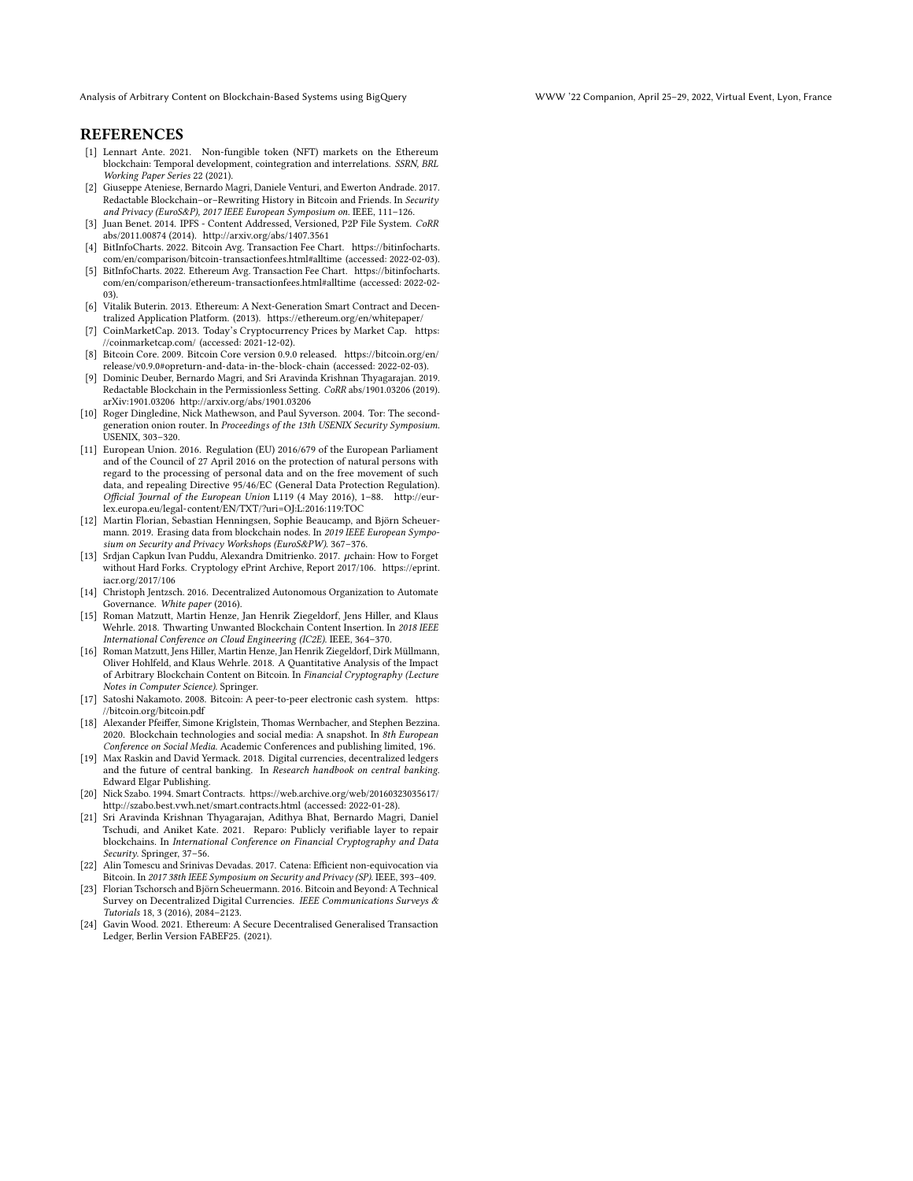Analysis of Arbitrary Content on Blockchain-Based Systems using BigQuery WWW '22 Companion, April 25–29, 2022, Virtual Event, Lyon, France

### **REFERENCES**

- <span id="page-8-6"></span>[1] Lennart Ante. 2021. Non-fungible token (NFT) markets on the Ethereum blockchain: Temporal development, cointegration and interrelations. SSRN, BRL Working Paper Series 22 (2021).
- <span id="page-8-13"></span>[2] Giuseppe Ateniese, Bernardo Magri, Daniele Venturi, and Ewerton Andrade. 2017. Redactable Blockchain–or–Rewriting History in Bitcoin and Friends. In Security and Privacy (EuroS&P), 2017 IEEE European Symposium on. IEEE, 111–126.
- <span id="page-8-18"></span>[3] Juan Benet. 2014. IPFS - Content Addressed, Versioned, P2P File System. CoRR abs/2011.00874 (2014).<http://arxiv.org/abs/1407.3561>
- <span id="page-8-20"></span>[4] BitInfoCharts. 2022. Bitcoin Avg. Transaction Fee Chart. [https://bitinfocharts.](https://bitinfocharts.com/en/comparison/bitcoin-transactionfees.html#alltime) [com/en/comparison/bitcoin-transactionfees.html#alltime](https://bitinfocharts.com/en/comparison/bitcoin-transactionfees.html#alltime) (accessed: 2022-02-03).
- <span id="page-8-21"></span>[5] BitInfoCharts. 2022. Ethereum Avg. Transaction Fee Chart. [https://bitinfocharts.](https://bitinfocharts.com/en/comparison/ethereum-transactionfees.html#alltime) [com/en/comparison/ethereum-transactionfees.html#alltime](https://bitinfocharts.com/en/comparison/ethereum-transactionfees.html#alltime) (accessed: 2022-02- 03).
- <span id="page-8-2"></span>[6] Vitalik Buterin. 2013. Ethereum: A Next-Generation Smart Contract and Decentralized Application Platform. (2013).<https://ethereum.org/en/whitepaper/>
- <span id="page-8-10"></span>[7] CoinMarketCap. 2013. Today's Cryptocurrency Prices by Market Cap. [https:](https://coinmarketcap.com/) [//coinmarketcap.com/](https://coinmarketcap.com/) (accessed: 2021-12-02).
- <span id="page-8-22"></span>[8] Bitcoin Core. 2009. Bitcoin Core version 0.9.0 released. [https://bitcoin.org/en/](https://bitcoin.org/en/release/v0.9.0#opreturn-and-data-in-the-block-chain) [release/v0.9.0#opreturn-and-data-in-the-block-chain](https://bitcoin.org/en/release/v0.9.0#opreturn-and-data-in-the-block-chain) (accessed: 2022-02-03).
- <span id="page-8-14"></span>[9] Dominic Deuber, Bernardo Magri, and Sri Aravinda Krishnan Thyagarajan. 2019. Redactable Blockchain in the Permissionless Setting. CoRR abs/1901.03206 (2019). arXiv[:1901.03206](https://arxiv.org/abs/1901.03206)<http://arxiv.org/abs/1901.03206>
- <span id="page-8-19"></span>[10] Roger Dingledine, Nick Mathewson, and Paul Syverson. 2004. Tor: The secondgeneration onion router. In Proceedings of the 13th USENIX Security Symposium. USENIX, 303–320.
- <span id="page-8-23"></span>[11] European Union. 2016. Regulation (EU) 2016/679 of the European Parliament and of the Council of 27 April 2016 on the protection of natural persons with regard to the processing of personal data and on the free movement of such data, and repealing Directive 95/46/EC (General Data Protection Regulation). Official Journal of the European Union L119 (4 May 2016), 1–88. [http://eur](http://eur-lex.europa.eu/legal-content/EN/TXT/?uri=OJ:L:2016:119:TOC)[lex.europa.eu/legal-content/EN/TXT/?uri=OJ:L:2016:119:TOC](http://eur-lex.europa.eu/legal-content/EN/TXT/?uri=OJ:L:2016:119:TOC)
- <span id="page-8-17"></span>[12] Martin Florian, Sebastian Henningsen, Sophie Beaucamp, and Björn Scheuermann. 2019. Erasing data from blockchain nodes. In 2019 IEEE European Symposium on Security and Privacy Workshops (EuroS&PW). 367–376.
- <span id="page-8-15"></span>[13] Srdjan Capkun Ivan Puddu, Alexandra Dmitrienko. 2017. µchain: How to Forget without Hard Forks. Cryptology ePrint Archive, Report 2017/106. [https://eprint.](https://eprint.iacr.org/2017/106) [iacr.org/2017/106](https://eprint.iacr.org/2017/106)
- <span id="page-8-5"></span>[14] Christoph Jentzsch. 2016. Decentralized Autonomous Organization to Automate Governance. White paper (2016).
- <span id="page-8-8"></span>[15] Roman Matzutt, Martin Henze, Jan Henrik Ziegeldorf, Jens Hiller, and Klaus Wehrle. 2018. Thwarting Unwanted Blockchain Content Insertion. In 2018 IEEE International Conference on Cloud Engineering (IC2E). IEEE, 364–370.
- <span id="page-8-9"></span>[16] Roman Matzutt, Jens Hiller, Martin Henze, Jan Henrik Ziegeldorf, Dirk Müllmann, Oliver Hohlfeld, and Klaus Wehrle. 2018. A Quantitative Analysis of the Impact of Arbitrary Blockchain Content on Bitcoin. In Financial Cryptography (Lecture Notes in Computer Science). Springer.
- <span id="page-8-0"></span>[17] Satoshi Nakamoto. 2008. Bitcoin: A peer-to-peer electronic cash system. [https:](https://bitcoin.org/bitcoin.pdf) [//bitcoin.org/bitcoin.pdf](https://bitcoin.org/bitcoin.pdf)
- <span id="page-8-7"></span>[18] Alexander Pfeiffer, Simone Kriglstein, Thomas Wernbacher, and Stephen Bezzina. 2020. Blockchain technologies and social media: A snapshot. In 8th European Conference on Social Media. Academic Conferences and publishing limited, 196.
- <span id="page-8-11"></span>[19] Max Raskin and David Yermack. 2018. Digital currencies, decentralized ledgers and the future of central banking. In Research handbook on central banking. Edward Elgar Publishing.
- <span id="page-8-3"></span>[20] Nick Szabo. 1994. Smart Contracts. [https://web.archive.org/web/20160323035617/](https://web.archive.org/web/20160323035617/http://szabo.best.vwh.net/smart.contracts.html) [http://szabo.best.vwh.net/smart.contracts.html](https://web.archive.org/web/20160323035617/http://szabo.best.vwh.net/smart.contracts.html) (accessed: 2022-01-28).
- <span id="page-8-16"></span>[21] Sri Aravinda Krishnan Thyagarajan, Adithya Bhat, Bernardo Magri, Daniel Tschudi, and Aniket Kate. 2021. Reparo: Publicly verifiable layer to repair blockchains. In International Conference on Financial Cryptography and Data Security. Springer, 37–56.
- <span id="page-8-12"></span>[22] Alin Tomescu and Srinivas Devadas. 2017. Catena: Efficient non-equivocation via Bitcoin. In 2017 38th IEEE Symposium on Security and Privacy (SP). IEEE, 393–409.
- <span id="page-8-1"></span>[23] Florian Tschorsch and Björn Scheuermann. 2016. Bitcoin and Beyond: A Technical Survey on Decentralized Digital Currencies. IEEE Communications Surveys & Tutorials 18, 3 (2016), 2084–2123.
- <span id="page-8-4"></span>[24] Gavin Wood. 2021. Ethereum: A Secure Decentralised Generalised Transaction Ledger, Berlin Version FABEF25. (2021).